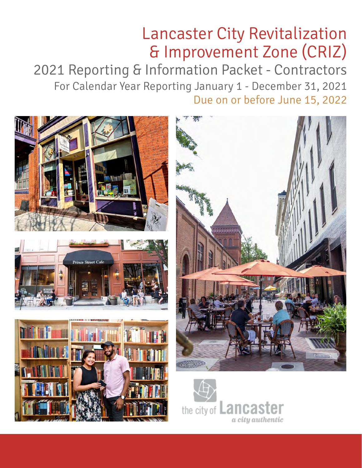# & Improvement Zone (CRIZ) Lancaster City Revitalization

2021 Reporting & Information Packet - Contractors For Calendar Year Reporting January 1 - December 31, 2021 Due on or before June 15, 2022

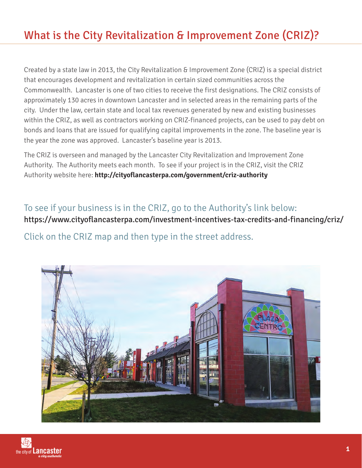# What is the City Revitalization & Improvement Zone (CRIZ)?

Created by a state law in 2013, the City Revitalization & Improvement Zone (CRIZ) is a special district that encourages development and revitalization in certain sized communities across the Commonwealth. Lancaster is one of two cities to receive the first designations. The CRIZ consists of approximately 130 acres in downtown Lancaster and in selected areas in the remaining parts of the city. Under the law, certain state and local tax revenues generated by new and existing businesses within the CRIZ, as well as contractors working on CRIZ-financed projects, can be used to pay debt on bonds and loans that are issued for qualifying capital improvements in the zone. The baseline year is the year the zone was approved. Lancaster's baseline year is 2013.

The CRIZ is overseen and managed by the Lancaster City Revitalization and Improvement Zone Authority. The Authority meets each month. To see if your project is in the CRIZ, visit the CRIZ Authority website here: **http://cityoflancasterpa.com/government/criz-authority**

### To see if your business is in the CRIZ, go to the Authority's link below:

https://www.cityoflancasterpa.com/investment-incentives-tax-credits-and-financing/criz/

Click on the CRIZ map and then type in the street address.

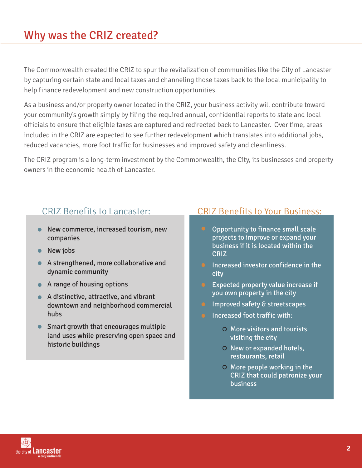### Why was the CRIZ created?

The Commonwealth created the CRIZ to spur the revitalization of communities like the City of Lancaster by capturing certain state and local taxes and channeling those taxes back to the local municipality to help finance redevelopment and new construction opportunities.

As a business and/or property owner located in the CRIZ, your business activity will contribute toward your community's growth simply by filing the required annual, confidential reports to state and local officials to ensure that eligible taxes are captured and redirected back to Lancaster. Over time, areas included in the CRIZ are expected to see further redevelopment which translates into additional jobs, reduced vacancies, more foot traffic for businesses and improved safety and cleanliness.

The CRIZ program is a long-term investment by the Commonwealth, the City, its businesses and property owners in the economic health of Lancaster.

- New commerce, increased tourism, new companies
- New jobs
- A strengthened, more collaborative and dynamic community
- A range of housing options
- A distinctive, attractive, and vibrant downtown and neighborhood commercial hubs
- Smart growth that encourages multiple land uses while preserving open space and historic buildings

### CRIZ Benefits to Lancaster: CRIZ Benefits to Your Business:

- Opportunity to finance small scale projects to improve or expand your business if it is located within the CRIZ
- $\bullet$  Increased investor confidence in the city
- Expected property value increase if you own property in the city
- Improved safety & streetscapes
- Increased foot traffic with:
	- More visitors and tourists visiting the city
	- $O$  New or expanded hotels, restaurants, retail
	- More people working in the CRIZ that could patronize your business

![](_page_2_Picture_20.jpeg)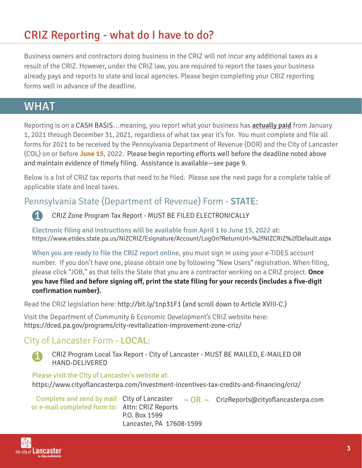# CRIZ Reporting - what do I have to do?

Business owners and contractors doing business in the CRIZ will not incur any additional taxes as a result of the CRIZ. However, under the CRIZ law, you are required to report the taxes your business already pays and reports to state and local agencies. Please begin completing your CRIZ reporting forms well in advance of the deadline.

### WHAT

Reporting is on a CASH BASIS…meaning, you report what your business has **actually paid** from January 1, 2021 through December 31, 2021, regardless of what tax year it's for. You must complete and file all forms for 2021 to be received by the Pennsylvania Department of Revenue (DOR) and the City of Lancaster (COL) on or before **June 15,** 2022. Please begin reporting efforts well before the deadline noted above and maintain evidence of timely filing. Assistance is available—see page 9.

Below is a list of CRIZ tax reports that need to be filed. Please see the next page for a complete table of applicable state and local taxes.

### Pennsylvania State (Department of Revenue) Form - STATE:

1

CRIZ Zone Program Tax Report - MUST BE FILED ELECTRONICALLY

Electronic filing and instructions will be available from April 1 to June 15, 2022 at: https://www.etides.state.pa.us/NIZCRIZ/Esignature/Account/LogOn?ReturnUrl=%2fNIZCRIZ%2fDefault.aspx

When you are ready to file the CRIZ report online, you must sign in using your e-TIDES account number. If you don't have one, please obtain one by following "New Users" registration. When filing, please click "JOB," as that tells the State that you are a contractor working on a CRIZ project. **Once you have filed and before signing off, print the state filing for your records (includes a five-digit confirmation number).**

Read the CRIZ legislation here: http://bit.ly/1np31F1 (and scroll down to Article XVIII-C.)

Visit the Department of Community & Economic Development's CRIZ website here: https://dced.pa.gov/programs/city-revitalization-improvement-zone-criz/

### City of Lancaster Form - LOCAL:

1

CRIZ Program Local Tax Report - City of Lancaster - MUST BE MAILED, E-MAILED OR HAND-DELIVERED

#### Please visit the City of Lancaster's website at:

https://www.cityoflancasterpa.com/investment-incentives-tax-credits-and-financing/criz/

|                                                 |                          | Complete and send by mail City of Lancaster $\sim$ OR $\sim$ CrizReports@cityoflancasterpa.com |
|-------------------------------------------------|--------------------------|------------------------------------------------------------------------------------------------|
| or e-mail completed form to: Attn: CRIZ Reports |                          |                                                                                                |
|                                                 | P.O. Box 1599            |                                                                                                |
|                                                 | Lancaster, PA 17608-1599 |                                                                                                |

![](_page_3_Picture_18.jpeg)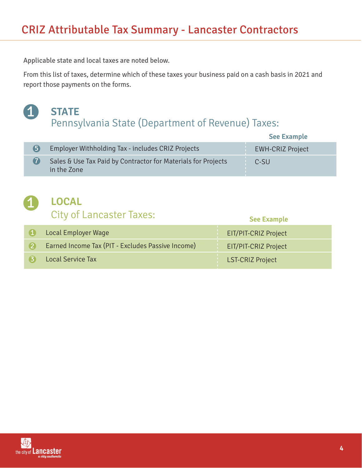Applicable state and local taxes are noted below.

From this list of taxes, determine which of these taxes your business paid on a cash basis in 2021 and report those payments on the forms.

#### 1 Pennsylvania State (Department of Revenue) Taxes: **STATE**

|     |                                                                              | <b>See Example</b>      |
|-----|------------------------------------------------------------------------------|-------------------------|
| (5) | Employer Withholding Tax - includes CRIZ Projects                            | <b>EWH-CRIZ Project</b> |
|     | Sales & Use Tax Paid by Contractor for Materials for Projects<br>in the Zone | C-SU                    |

### City of Lancaster Taxes: **LOCAL**

| City Of Edited Ster Taxes.                        | <b>See Example</b>   |
|---------------------------------------------------|----------------------|
| Local Employer Wage                               | EIT/PIT-CRIZ Project |
| Earned Income Tax (PIT - Excludes Passive Income) | EIT/PIT-CRIZ Project |
| <b>Local Service Tax</b>                          | LST-CRIZ Project     |

![](_page_4_Picture_7.jpeg)

1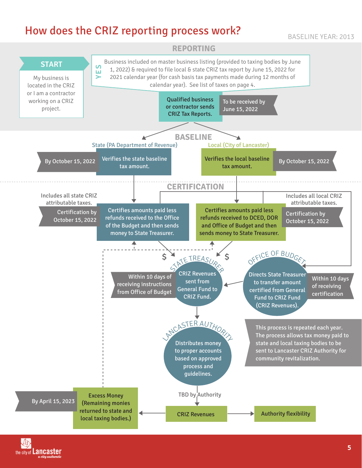# How does the CRIZ reporting process work?

BASELINE YEAR: 2013

![](_page_5_Figure_2.jpeg)

the city of **Lancaster**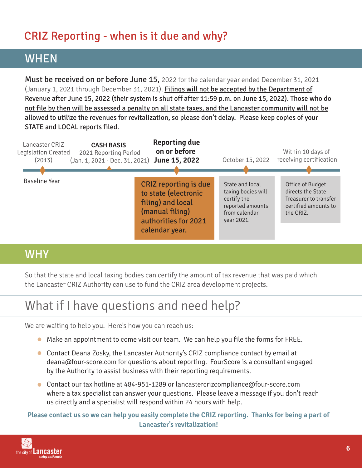# CRIZ Reporting - when is it due and why?

# WHEN

Must be received on or before June 15, 2022 for the calendar year ended December 31, 2021 (January 1, 2021 through December 31, 2021). Filings will not be accepted by the Department of Revenue after June 15, 2022 (their system is shut off after 11:59 p.m. on June 15, 2022). Those who do not file by then will be assessed a penalty on all state taxes, and the Lancaster community will not be allowed to utilize the revenues for revitalization, so please don't delay. Please keep copies of your STATE and LOCAL reports filed.

![](_page_6_Figure_3.jpeg)

# **WHY**

So that the state and local taxing bodies can certify the amount of tax revenue that was paid which the Lancaster CRIZ Authority can use to fund the CRIZ area development projects.

# What if I have questions and need help?

We are waiting to help you. Here's how you can reach us:

- Make an appointment to come visit our team. We can help you file the forms for FREE.
- Contact Deana Zosky, the Lancaster Authority's CRIZ compliance contact by email at deana@four-score.com for questions about reporting. FourScore is a consultant engaged by the Authority to assist business with their reporting requirements.
- Contact our tax hotline at 484-951-1289 or lancastercrizcompliance@four-score.com where a tax specialist can answer your questions. Please leave a message if you don't reach us directly and a specialist will respond within 24 hours with help.

**Please contact us so we can help you easily complete the CRIZ reporting. Thanks for being a part of Lancaster's revitalization!**

![](_page_6_Picture_12.jpeg)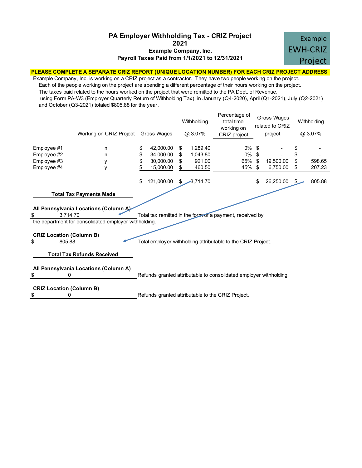#### **Payroll Taxes Paid from 1/1/2021 to 12/31/2021 Example Company, Inc. 2021 PA Employer Withholding Tax - CRIZ Project**

![](_page_7_Picture_1.jpeg)

#### **PLEASE COMPLETE A SEPARATE CRIZ REPORT (UNIQUE LOCATION NUMBER) FOR EACH CRIZ PROJECT ADDRESS**

Example Company, Inc. is working on a CRIZ project as a contractor. They have two people working on the project. Each of the people working on the project are spending a different percentage of their hours working on the project. The taxes paid related to the hours worked on the project that were remitted to the PA Dept. of Revenue, using Form PA-W3 (Employer Quarterly Return of Withholding Tax), in January (Q4-2020), April (Q1-2021), July (Q2-2021) and October (Q3-2021) totaled \$805.88 for the year.

|                                                          | Working on CRIZ Project                                                                                                          |          | Gross Wages                                      |                     | Withholding<br>$@3.07\%$                 | Percentage of<br>total time<br>working on<br>CRIZ project          |                      | Gross Wages<br>related to CRIZ<br>project |                      | Withholding<br>@ 3.07% |
|----------------------------------------------------------|----------------------------------------------------------------------------------------------------------------------------------|----------|--------------------------------------------------|---------------------|------------------------------------------|--------------------------------------------------------------------|----------------------|-------------------------------------------|----------------------|------------------------|
| Employee #1<br>Employee #2<br>Employee #3<br>Employee #4 | n<br>n<br>у<br>y                                                                                                                 | \$<br>\$ | 42.000.00<br>34,000.00<br>30,000.00<br>15,000.00 | S<br>\$<br>\$<br>\$ | 1,289.40<br>1,043.80<br>921.00<br>460.50 | 0%<br>0%<br>65%<br>45%                                             | \$<br>\$<br>\$<br>\$ | 19,500.00<br>6,750.00                     | \$<br>\$<br>\$<br>\$ | 598.65<br>207.23       |
|                                                          |                                                                                                                                  | S        | 121,000.00                                       | \$                  | $-3,714.70$                              |                                                                    | \$                   | 26,250.00                                 |                      | 805.88                 |
| \$<br>3.714.70                                           | <b>Total Tax Payments Made</b><br>All Pennsylvania Locations (Column A)<br>the department for consolidated employer withholding. |          |                                                  |                     |                                          | Total tax remitted in the form of a payment, received by           |                      |                                           |                      |                        |
| <b>CRIZ Location (Column B)</b><br>\$<br>805.88          |                                                                                                                                  |          |                                                  |                     |                                          | Total employer withholding attributable to the CRIZ Project.       |                      |                                           |                      |                        |
|                                                          | <b>Total Tax Refunds Received</b>                                                                                                |          |                                                  |                     |                                          |                                                                    |                      |                                           |                      |                        |
| \$<br>$\Omega$                                           | All Pennsylvania Locations (Column A)                                                                                            |          |                                                  |                     |                                          | Refunds granted attributable to consolidated employer withholding. |                      |                                           |                      |                        |
| <b>CRIZ Location (Column B)</b><br>\$<br>0               |                                                                                                                                  |          |                                                  |                     |                                          | Refunds granted attributable to the CRIZ Project.                  |                      |                                           |                      |                        |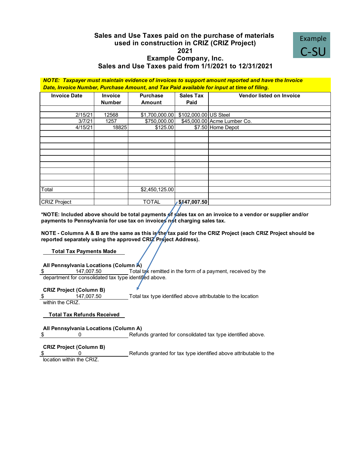#### **Sales and Use Taxes paid on the purchase of materials 2021 Example Company, Inc. Sales and Use Taxes paid from 1/1/2021 to 12/31/2021 used in construction in CRIZ (CRIZ Project)**

![](_page_8_Picture_1.jpeg)

*NOTE: Taxpayer must maintain evidence of invoices to support amount reported and have the Invoice Date, Invoice Number, Purchase Amount, and Tax Paid available for input at time of filing.*

| <b>Invoice Date</b> | <b>Invoice</b><br><b>Number</b> | <b>Purchase</b><br>Amount | <b>Sales Tax</b><br>Paid | <b>Vendor listed on Invoice</b> |
|---------------------|---------------------------------|---------------------------|--------------------------|---------------------------------|
|                     |                                 |                           |                          |                                 |
| 2/15/21             | 12568                           | \$1,700,000.00            | \$102,000.00 US Steel    |                                 |
| 3/7/21              | 1257                            | \$750,000.00              |                          | \$45,000.00 Acme Lumber Co.     |
| 4/15/21             | 18825                           | \$125.00                  |                          | \$7.50 Home Depot               |
|                     |                                 |                           |                          |                                 |
|                     |                                 |                           |                          |                                 |
|                     |                                 |                           |                          |                                 |
|                     |                                 |                           |                          |                                 |
|                     |                                 |                           |                          |                                 |
|                     |                                 |                           |                          |                                 |
|                     |                                 |                           |                          |                                 |
|                     |                                 |                           |                          |                                 |
|                     |                                 |                           |                          |                                 |
| Total               |                                 | \$2,450,125.00            |                          |                                 |
|                     |                                 |                           |                          |                                 |
| <b>CRIZ Project</b> |                                 | <b>TOTAL</b>              | $\sqrt{5147,007.50}$     |                                 |

**\*NOTE: Included above should be total payments of sales tax on an invoice to a vendor or supplier and/or** payments to Pennsylvania for use tax on invoices not charging sales tax.

**NOTE - Columns A & B are the same as this is the tax paid for the CRIZ Project (each CRIZ Project should be** reported separately using the approved CRIZ Project Address).

**Total Tax Payments Made**

**All Pennsylvania Locations (Column A)**

Total tax remitted in the form of a payment, received by the department for consolidated tax type identified above. \$ 147,007.50

**CRIZ Project (Column B)**

Total tax type identified above attributable to the location within the CRIZ. \$ 147,007.50

**Total Tax Refunds Received**

**All Pennsylvania Locations (Column A)**  $\updownarrow$  0

Refunds granted for consolidated tax type identified above.

**CRIZ Project (Column B)**

Refunds granted for tax type identified above attributable to the

location within the CRIZ.  $\begin{matrix} \text{1} & \text{3} & \text{5} & \text{6} \end{matrix}$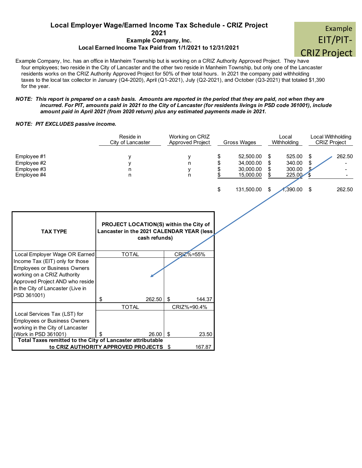### **Example Company, Inc. Local Employer Wage/Earned Income Tax Schedule - CRIZ Project <sup>2021</sup>** Example

#### **Local Earned Income Tax Paid from 1/1/2021 to 12/31/2021**

Example Company, Inc. has an office in Manheim Township but is working on a CRIZ Authority Approved Project. They have four employees; two reside in the City of Lancaster and the other two reside in Manheim Township, but only one of the Lancaster residents works on the CRIZ Authority Approved Project for 50% of their total hours. In 2021 the company paid withholding taxes to the local tax collector in January (Q4-2020), April (Q1-2021), July (Q2-2021), and October (Q3-2021) that totaled \$1,390 for the year.

#### *NOTE: This report is prepared on a cash basis. Amounts are reported in the period that they are paid, not when they are incurred. For PIT, amounts paid in 2021 to the City of Lancaster (for residents livings in PSD code 361001), include amount paid in April 2021 (from 2020 return) plus any estimated payments made in 2021.*

#### *NOTE: PIT EXCLUDES passive income.*

|                                                            | Reside in<br>City of Lancaster |            | Working on CRIZ<br>Approved Project                                                 | Gross Wages                                            | Local<br>Withholding |                                      | Local Withholding<br><b>CRIZ Project</b> |  |        |
|------------------------------------------------------------|--------------------------------|------------|-------------------------------------------------------------------------------------|--------------------------------------------------------|----------------------|--------------------------------------|------------------------------------------|--|--------|
| Employee #1<br>Employee #2<br>Employee #3<br>Employee #4   | у<br>у<br>n<br>n               |            | у<br>n<br>y<br>n                                                                    | \$<br>52,500.00<br>34,000.00<br>30,000.00<br>15,000.00 | \$<br>\$<br>\$<br>\$ | 525.00<br>340.00<br>300.00<br>225.00 | S<br>\$                                  |  | 262.50 |
|                                                            |                                |            |                                                                                     | \$<br>131,500.00                                       | \$                   | ,390.00                              | \$                                       |  | 262.50 |
|                                                            |                                |            |                                                                                     |                                                        |                      |                                      |                                          |  |        |
|                                                            |                                |            |                                                                                     |                                                        |                      |                                      |                                          |  |        |
| <b>TAX TYPE</b>                                            |                                |            | PROJECT LOCATION(S) within the City of<br>Lancaster in the 2021 CALENDAR YEAR (less |                                                        |                      |                                      |                                          |  |        |
|                                                            | cash refunds)                  |            |                                                                                     |                                                        |                      |                                      |                                          |  |        |
|                                                            |                                |            |                                                                                     |                                                        |                      |                                      |                                          |  |        |
| Local Employer Wage OR Earned                              | <b>TOTAL</b>                   |            | CRIZ%=55%                                                                           |                                                        |                      |                                      |                                          |  |        |
| Income Tax (EIT) only for those                            |                                |            |                                                                                     |                                                        |                      |                                      |                                          |  |        |
| <b>Employees or Business Owners</b>                        |                                |            |                                                                                     |                                                        |                      |                                      |                                          |  |        |
| working on a CRIZ Authority                                |                                |            |                                                                                     |                                                        |                      |                                      |                                          |  |        |
| Approved Project AND who reside                            |                                |            |                                                                                     |                                                        |                      |                                      |                                          |  |        |
| in the City of Lancaster (Live in                          |                                |            |                                                                                     |                                                        |                      |                                      |                                          |  |        |
| PSD 361001)                                                | \$                             | 262.50     | -\$<br>144.37                                                                       |                                                        |                      |                                      |                                          |  |        |
|                                                            | <b>TOTAL</b>                   |            | CRIZ%=90.4%                                                                         |                                                        |                      |                                      |                                          |  |        |
| Local Services Tax (LST) for                               |                                |            |                                                                                     |                                                        |                      |                                      |                                          |  |        |
| <b>Employees or Business Owners</b>                        |                                |            |                                                                                     |                                                        |                      |                                      |                                          |  |        |
| working in the City of Lancaster                           |                                |            |                                                                                     |                                                        |                      |                                      |                                          |  |        |
| (Work in PSD 361001)                                       | \$                             | $26.00$ \$ | 23.50                                                                               |                                                        |                      |                                      |                                          |  |        |
| Total Taxes remitted to the City of Lancaster attributable |                                |            |                                                                                     |                                                        |                      |                                      |                                          |  |        |
| to CRIZ AUTHORITY APPROVED PROJECTS                        |                                |            | 167.87<br>\$                                                                        |                                                        |                      |                                      |                                          |  |        |

![](_page_9_Picture_6.jpeg)